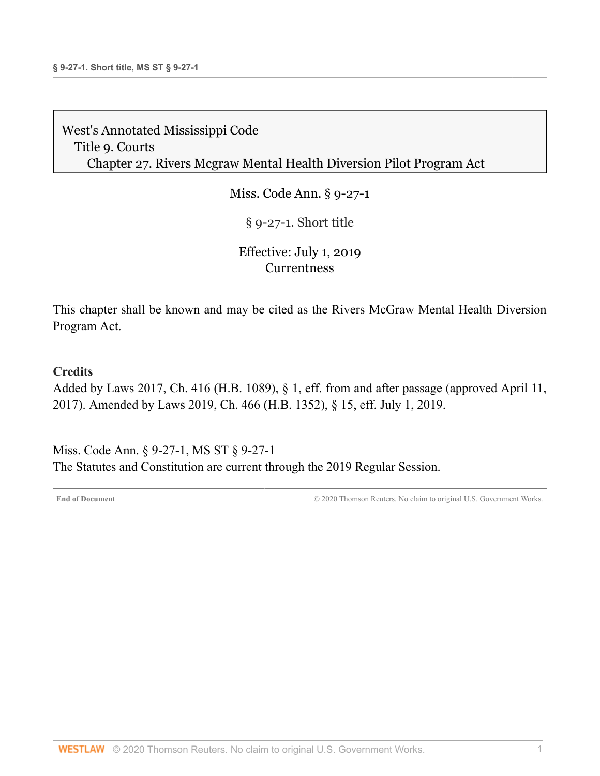Miss. Code Ann. § 9-27-1

§ 9-27-1. Short title

### Effective: July 1, 2019 **[Currentness](#page-0-0)**

This chapter shall be known and may be cited as the Rivers McGraw Mental Health Diversion Program Act.

#### **Credits**

Added by [Laws 2017, Ch. 416 \(H.B. 1089\), § 1,](http://www.westlaw.com/Link/Document/FullText?findType=l&pubNum=1077005&cite=UUID(IA479C8501F-AC11E796A7E-56916961BA1)&originatingDoc=NC86B9E00977311E98AADDA96C898F760&refType=SL&originationContext=document&vr=3.0&rs=cblt1.0&transitionType=DocumentItem&contextData=(sc.Document)) eff. from and after passage (approved April 11, 2017). Amended by [Laws 2019, Ch. 466 \(H.B. 1352\), § 15, eff. July 1, 2019.](http://www.westlaw.com/Link/Document/FullText?findType=l&pubNum=1077005&cite=UUID(IA6F6ACB061-2C11E9A5BAC-454C4C7F67B)&originatingDoc=NC86B9E00977311E98AADDA96C898F760&refType=SL&originationContext=document&vr=3.0&rs=cblt1.0&transitionType=DocumentItem&contextData=(sc.Document))

<span id="page-0-0"></span>Miss. Code Ann. § 9-27-1, MS ST § 9-27-1 The Statutes and Constitution are current through the 2019 Regular Session.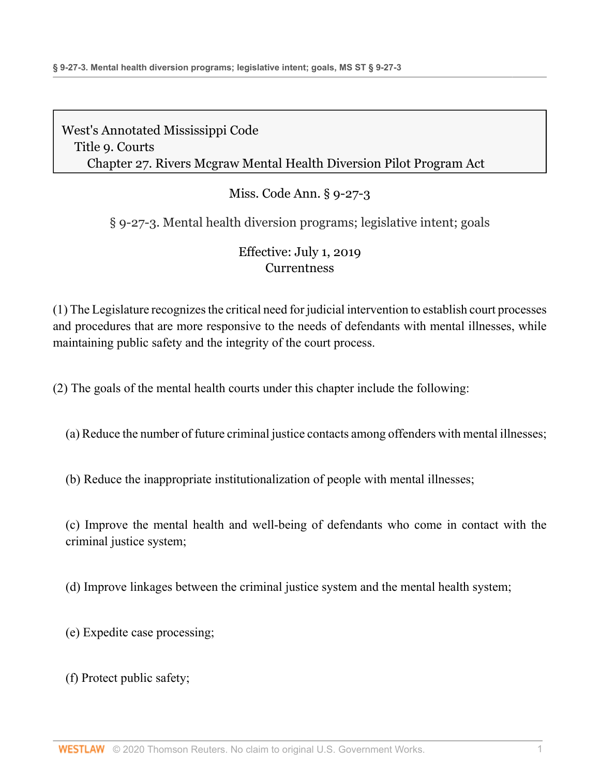# Miss. Code Ann. § 9-27-3

§ 9-27-3. Mental health diversion programs; legislative intent; goals

## Effective: July 1, 2019 **[Currentness](#page-2-0)**

(1) The Legislature recognizes the critical need for judicial intervention to establish court processes and procedures that are more responsive to the needs of defendants with mental illnesses, while maintaining public safety and the integrity of the court process.

(2) The goals of the mental health courts under this chapter include the following:

(a) Reduce the number of future criminal justice contacts among offenders with mental illnesses;

(b) Reduce the inappropriate institutionalization of people with mental illnesses;

(c) Improve the mental health and well-being of defendants who come in contact with the criminal justice system;

(d) Improve linkages between the criminal justice system and the mental health system;

(e) Expedite case processing;

(f) Protect public safety;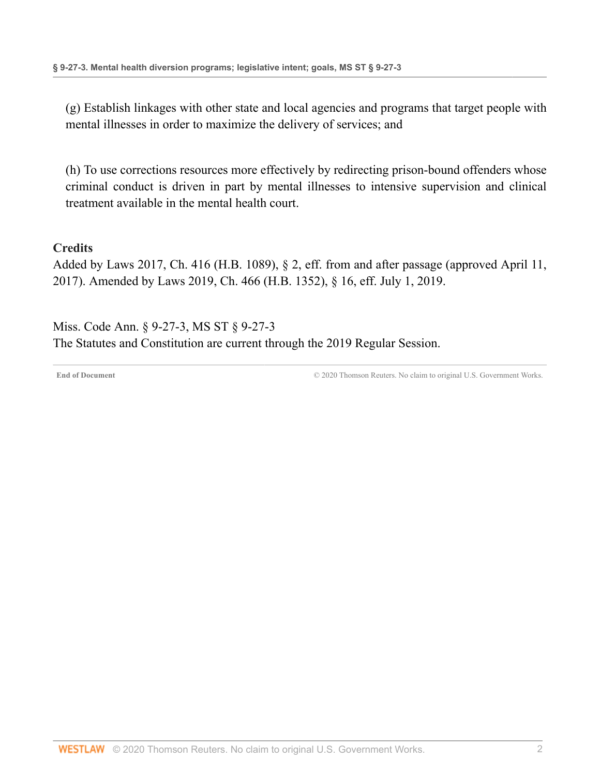(g) Establish linkages with other state and local agencies and programs that target people with mental illnesses in order to maximize the delivery of services; and

(h) To use corrections resources more effectively by redirecting prison-bound offenders whose criminal conduct is driven in part by mental illnesses to intensive supervision and clinical treatment available in the mental health court.

#### **Credits**

Added by [Laws 2017, Ch. 416 \(H.B. 1089\), § 2,](http://www.westlaw.com/Link/Document/FullText?findType=l&pubNum=1077005&cite=UUID(IA479C8501F-AC11E796A7E-56916961BA1)&originatingDoc=ND5BD3190977311E9897BE981991D4DEA&refType=SL&originationContext=document&vr=3.0&rs=cblt1.0&transitionType=DocumentItem&contextData=(sc.Document)) eff. from and after passage (approved April 11, 2017). Amended by [Laws 2019, Ch. 466 \(H.B. 1352\), § 16, eff. July 1, 2019.](http://www.westlaw.com/Link/Document/FullText?findType=l&pubNum=1077005&cite=UUID(IA6F6ACB061-2C11E9A5BAC-454C4C7F67B)&originatingDoc=ND5BD3190977311E9897BE981991D4DEA&refType=SL&originationContext=document&vr=3.0&rs=cblt1.0&transitionType=DocumentItem&contextData=(sc.Document))

<span id="page-2-0"></span>Miss. Code Ann. § 9-27-3, MS ST § 9-27-3 The Statutes and Constitution are current through the 2019 Regular Session.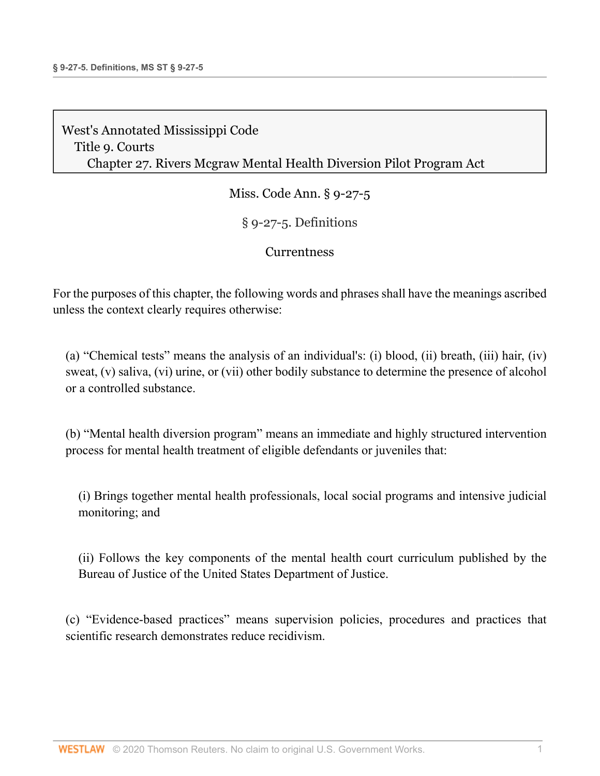Miss. Code Ann. § 9-27-5

§ 9-27-5. Definitions

### **[Currentness](#page-4-0)**

For the purposes of this chapter, the following words and phrases shall have the meanings ascribed unless the context clearly requires otherwise:

(a) "Chemical tests" means the analysis of an individual's: (i) blood, (ii) breath, (iii) hair, (iv) sweat, (v) saliva, (vi) urine, or (vii) other bodily substance to determine the presence of alcohol or a controlled substance.

(b) "Mental health diversion program" means an immediate and highly structured intervention process for mental health treatment of eligible defendants or juveniles that:

(i) Brings together mental health professionals, local social programs and intensive judicial monitoring; and

(ii) Follows the key components of the mental health court curriculum published by the Bureau of Justice of the United States Department of Justice.

(c) "Evidence-based practices" means supervision policies, procedures and practices that scientific research demonstrates reduce recidivism.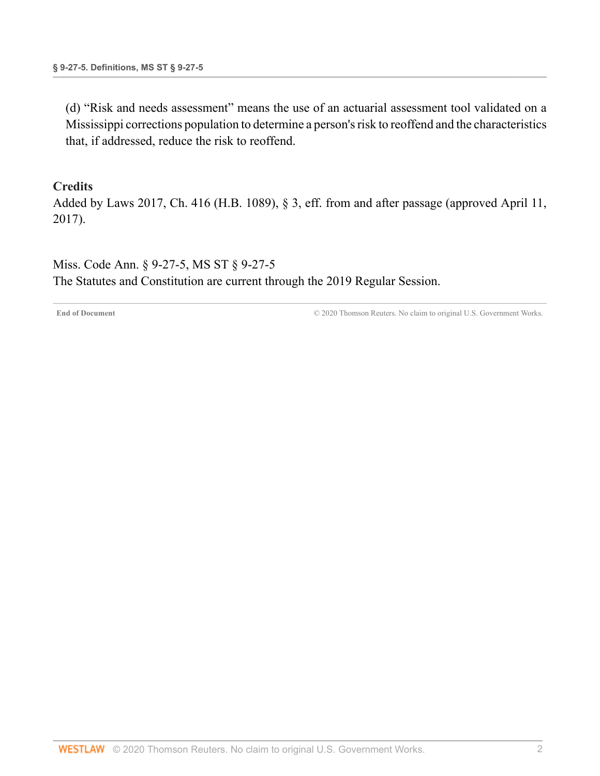(d) "Risk and needs assessment" means the use of an actuarial assessment tool validated on a Mississippi corrections population to determine a person's risk to reoffend and the characteristics that, if addressed, reduce the risk to reoffend.

#### **Credits**

Added by [Laws 2017, Ch. 416 \(H.B. 1089\), § 3,](http://www.westlaw.com/Link/Document/FullText?findType=l&pubNum=1077005&cite=UUID(IA479C8501F-AC11E796A7E-56916961BA1)&originatingDoc=N784AFD40203711E7A1419BBB65005DF6&refType=SL&originationContext=document&vr=3.0&rs=cblt1.0&transitionType=DocumentItem&contextData=(sc.Document)) eff. from and after passage (approved April 11, 2017).

<span id="page-4-0"></span>Miss. Code Ann. § 9-27-5, MS ST § 9-27-5 The Statutes and Constitution are current through the 2019 Regular Session.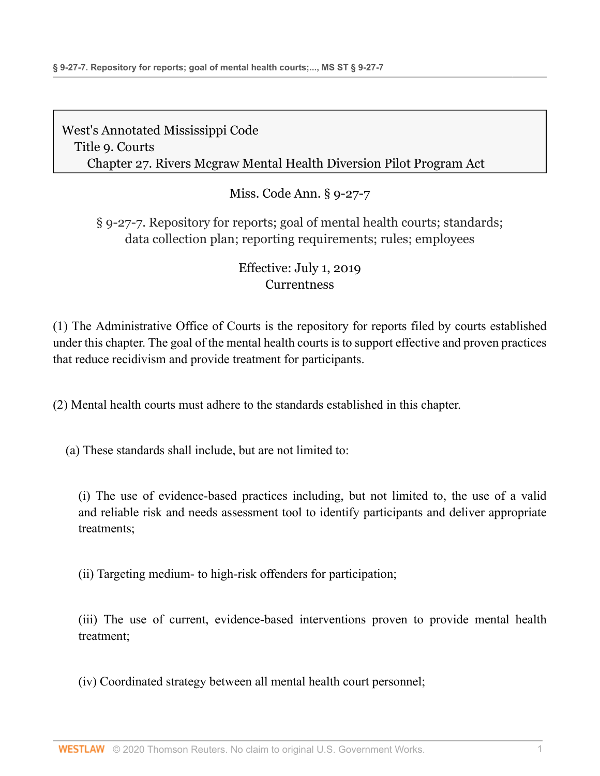Miss. Code Ann. § 9-27-7

§ 9-27-7. Repository for reports; goal of mental health courts; standards; data collection plan; reporting requirements; rules; employees

# Effective: July 1, 2019 **[Currentness](#page-8-0)**

(1) The Administrative Office of Courts is the repository for reports filed by courts established under this chapter. The goal of the mental health courts is to support effective and proven practices that reduce recidivism and provide treatment for participants.

(2) Mental health courts must adhere to the standards established in this chapter.

(a) These standards shall include, but are not limited to:

(i) The use of evidence-based practices including, but not limited to, the use of a valid and reliable risk and needs assessment tool to identify participants and deliver appropriate treatments;

(ii) Targeting medium- to high-risk offenders for participation;

(iii) The use of current, evidence-based interventions proven to provide mental health treatment;

(iv) Coordinated strategy between all mental health court personnel;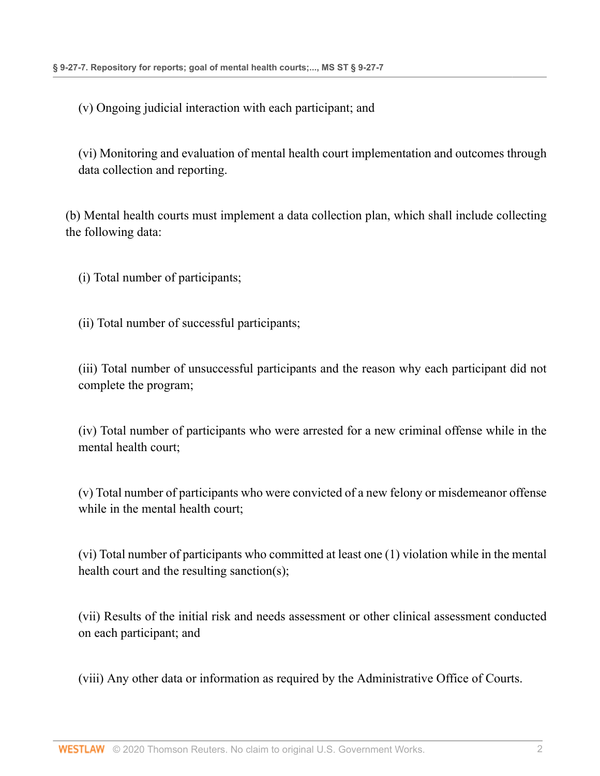(v) Ongoing judicial interaction with each participant; and

(vi) Monitoring and evaluation of mental health court implementation and outcomes through data collection and reporting.

(b) Mental health courts must implement a data collection plan, which shall include collecting the following data:

(i) Total number of participants;

(ii) Total number of successful participants;

(iii) Total number of unsuccessful participants and the reason why each participant did not complete the program;

(iv) Total number of participants who were arrested for a new criminal offense while in the mental health court;

(v) Total number of participants who were convicted of a new felony or misdemeanor offense while in the mental health court;

(vi) Total number of participants who committed at least one (1) violation while in the mental health court and the resulting sanction(s);

(vii) Results of the initial risk and needs assessment or other clinical assessment conducted on each participant; and

(viii) Any other data or information as required by the Administrative Office of Courts.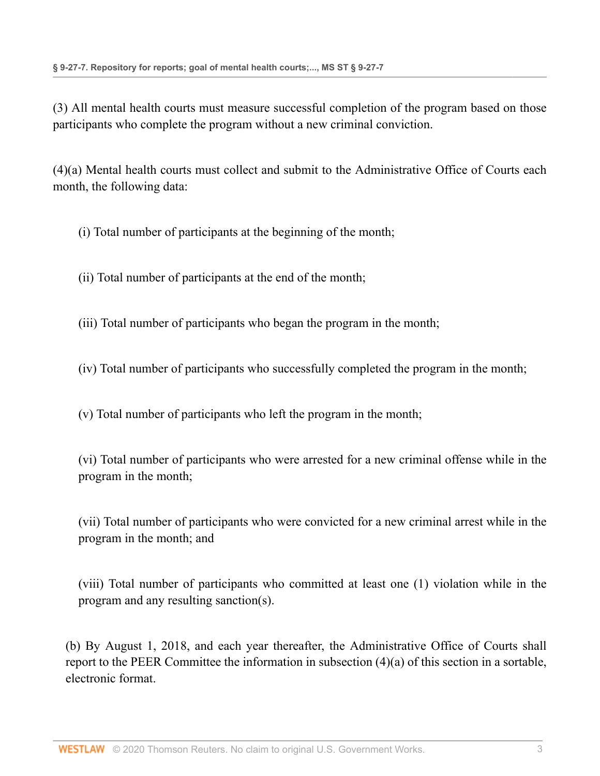(3) All mental health courts must measure successful completion of the program based on those participants who complete the program without a new criminal conviction.

(4)(a) Mental health courts must collect and submit to the Administrative Office of Courts each month, the following data:

- (i) Total number of participants at the beginning of the month;
- (ii) Total number of participants at the end of the month;
- (iii) Total number of participants who began the program in the month;
- (iv) Total number of participants who successfully completed the program in the month;
- (v) Total number of participants who left the program in the month;

(vi) Total number of participants who were arrested for a new criminal offense while in the program in the month;

(vii) Total number of participants who were convicted for a new criminal arrest while in the program in the month; and

(viii) Total number of participants who committed at least one (1) violation while in the program and any resulting sanction(s).

(b) By August 1, 2018, and each year thereafter, the Administrative Office of Courts shall report to the PEER Committee the information in subsection (4)(a) of this section in a sortable, electronic format.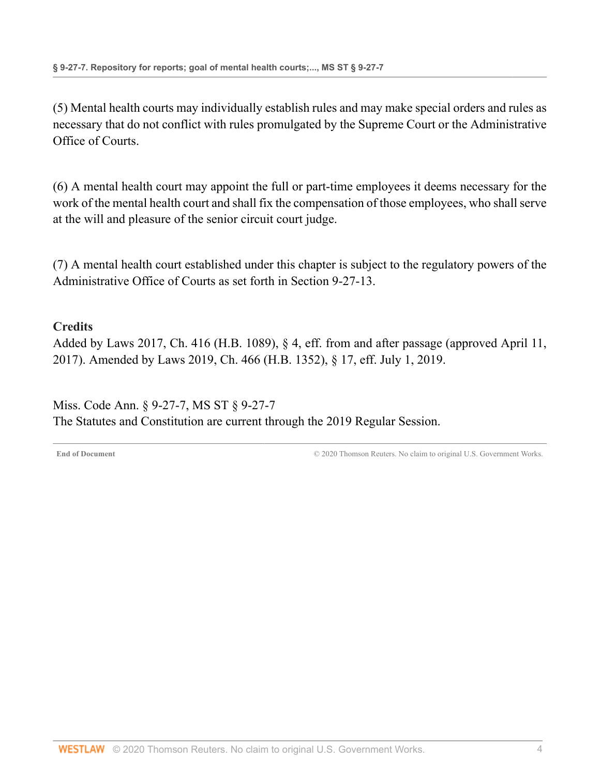(5) Mental health courts may individually establish rules and may make special orders and rules as necessary that do not conflict with rules promulgated by the Supreme Court or the Administrative Office of Courts.

(6) A mental health court may appoint the full or part-time employees it deems necessary for the work of the mental health court and shall fix the compensation of those employees, who shall serve at the will and pleasure of the senior circuit court judge.

(7) A mental health court established under this chapter is subject to the regulatory powers of the Administrative Office of Courts as set forth in [Section 9-27-13](http://www.westlaw.com/Link/Document/FullText?findType=L&pubNum=1000933&cite=MSSTS9-27-13&originatingDoc=NC8AD13D0977311E9897BE981991D4DEA&refType=LQ&originationContext=document&vr=3.0&rs=cblt1.0&transitionType=DocumentItem&contextData=(sc.Document)).

#### **Credits**

Added by [Laws 2017, Ch. 416 \(H.B. 1089\), § 4,](http://www.westlaw.com/Link/Document/FullText?findType=l&pubNum=1077005&cite=UUID(IA479C8501F-AC11E796A7E-56916961BA1)&originatingDoc=NC8AD13D0977311E9897BE981991D4DEA&refType=SL&originationContext=document&vr=3.0&rs=cblt1.0&transitionType=DocumentItem&contextData=(sc.Document)) eff. from and after passage (approved April 11, 2017). Amended by [Laws 2019, Ch. 466 \(H.B. 1352\), § 17, eff. July 1, 2019.](http://www.westlaw.com/Link/Document/FullText?findType=l&pubNum=1077005&cite=UUID(IA6F6ACB061-2C11E9A5BAC-454C4C7F67B)&originatingDoc=NC8AD13D0977311E9897BE981991D4DEA&refType=SL&originationContext=document&vr=3.0&rs=cblt1.0&transitionType=DocumentItem&contextData=(sc.Document))

<span id="page-8-0"></span>Miss. Code Ann. § 9-27-7, MS ST § 9-27-7 The Statutes and Constitution are current through the 2019 Regular Session.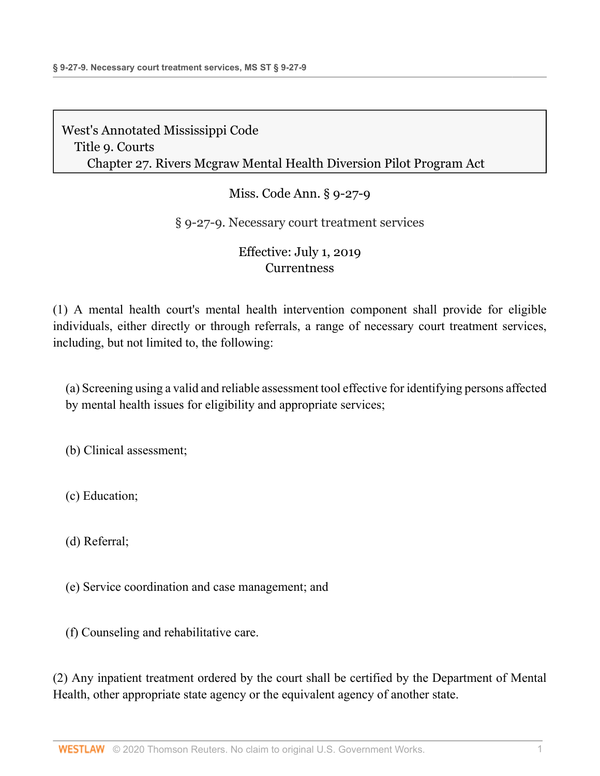## Miss. Code Ann. § 9-27-9

### § 9-27-9. Necessary court treatment services

### Effective: July 1, 2019 **[Currentness](#page-10-0)**

(1) A mental health court's mental health intervention component shall provide for eligible individuals, either directly or through referrals, a range of necessary court treatment services, including, but not limited to, the following:

(a) Screening using a valid and reliable assessment tool effective for identifying persons affected by mental health issues for eligibility and appropriate services;

(b) Clinical assessment;

(c) Education;

(d) Referral;

(e) Service coordination and case management; and

(f) Counseling and rehabilitative care.

(2) Any inpatient treatment ordered by the court shall be certified by the Department of Mental Health, other appropriate state agency or the equivalent agency of another state.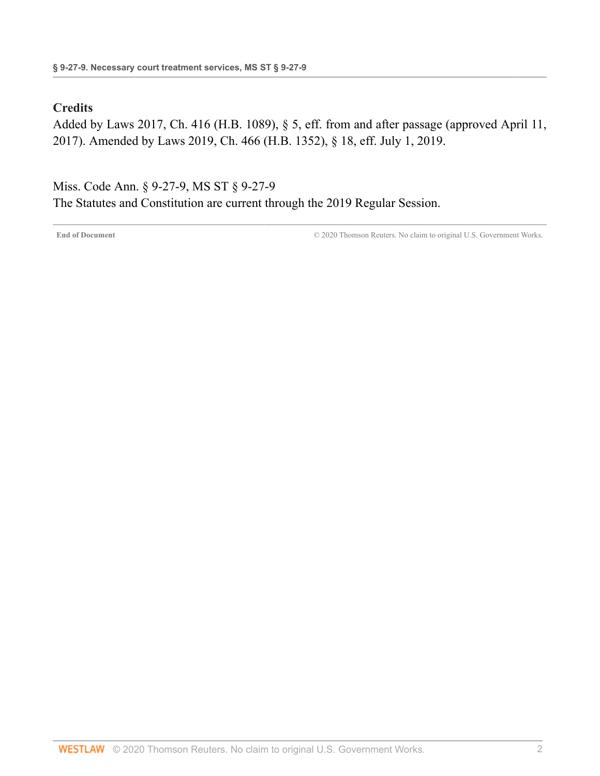#### **Credits**

Added by [Laws 2017, Ch. 416 \(H.B. 1089\), § 5,](http://www.westlaw.com/Link/Document/FullText?findType=l&pubNum=1077005&cite=UUID(IA479C8501F-AC11E796A7E-56916961BA1)&originatingDoc=NC40B7830977311E9897BE981991D4DEA&refType=SL&originationContext=document&vr=3.0&rs=cblt1.0&transitionType=DocumentItem&contextData=(sc.Document)) eff. from and after passage (approved April 11, 2017). Amended by [Laws 2019, Ch. 466 \(H.B. 1352\), § 18, eff. July 1, 2019.](http://www.westlaw.com/Link/Document/FullText?findType=l&pubNum=1077005&cite=UUID(IA6F6ACB061-2C11E9A5BAC-454C4C7F67B)&originatingDoc=NC40B7830977311E9897BE981991D4DEA&refType=SL&originationContext=document&vr=3.0&rs=cblt1.0&transitionType=DocumentItem&contextData=(sc.Document))

<span id="page-10-0"></span>Miss. Code Ann. § 9-27-9, MS ST § 9-27-9 The Statutes and Constitution are current through the 2019 Regular Session.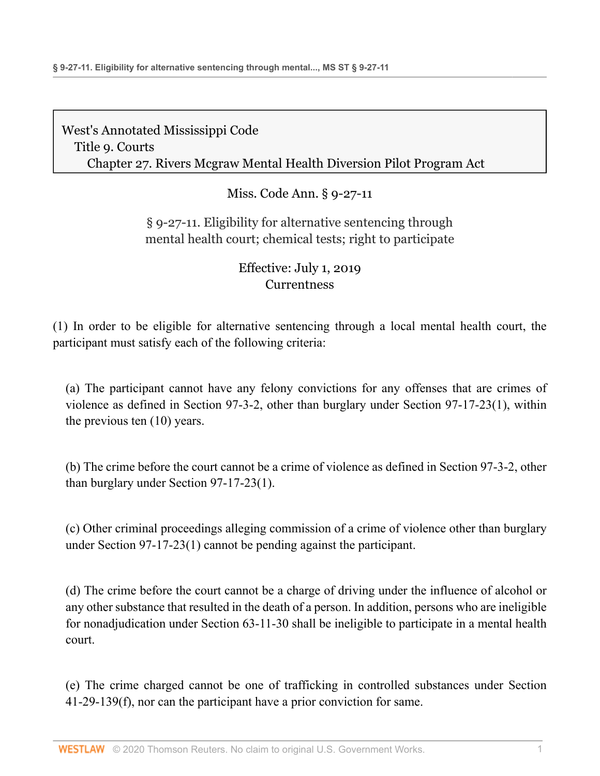Miss. Code Ann. § 9-27-11

## § 9-27-11. Eligibility for alternative sentencing through mental health court; chemical tests; right to participate

## Effective: July 1, 2019 **[Currentness](#page-12-0)**

(1) In order to be eligible for alternative sentencing through a local mental health court, the participant must satisfy each of the following criteria:

(a) The participant cannot have any felony convictions for any offenses that are crimes of violence as defined in [Section 97-3-2](http://www.westlaw.com/Link/Document/FullText?findType=L&pubNum=1000933&cite=MSSTS97-3-2&originatingDoc=ND8571650977311E9806FD1F570ABFF0E&refType=LQ&originationContext=document&vr=3.0&rs=cblt1.0&transitionType=DocumentItem&contextData=(sc.Document)), other than burglary under [Section 97-17-23\(1\)](http://www.westlaw.com/Link/Document/FullText?findType=L&pubNum=1000933&cite=MSSTS97-17-23&originatingDoc=ND8571650977311E9806FD1F570ABFF0E&refType=SP&originationContext=document&vr=3.0&rs=cblt1.0&transitionType=DocumentItem&contextData=(sc.Document)#co_pp_f1c50000821b0), within the previous ten (10) years.

(b) The crime before the court cannot be a crime of violence as defined in [Section 97-3-2](http://www.westlaw.com/Link/Document/FullText?findType=L&pubNum=1000933&cite=MSSTS97-3-2&originatingDoc=ND8571650977311E9806FD1F570ABFF0E&refType=LQ&originationContext=document&vr=3.0&rs=cblt1.0&transitionType=DocumentItem&contextData=(sc.Document)), other than burglary under [Section 97-17-23\(1\)](http://www.westlaw.com/Link/Document/FullText?findType=L&pubNum=1000933&cite=MSSTS97-17-23&originatingDoc=ND8571650977311E9806FD1F570ABFF0E&refType=SP&originationContext=document&vr=3.0&rs=cblt1.0&transitionType=DocumentItem&contextData=(sc.Document)#co_pp_f1c50000821b0).

(c) Other criminal proceedings alleging commission of a crime of violence other than burglary under [Section 97-17-23\(1\)](http://www.westlaw.com/Link/Document/FullText?findType=L&pubNum=1000933&cite=MSSTS97-17-23&originatingDoc=ND8571650977311E9806FD1F570ABFF0E&refType=SP&originationContext=document&vr=3.0&rs=cblt1.0&transitionType=DocumentItem&contextData=(sc.Document)#co_pp_f1c50000821b0) cannot be pending against the participant.

(d) The crime before the court cannot be a charge of driving under the influence of alcohol or any other substance that resulted in the death of a person. In addition, persons who are ineligible for nonadjudication under [Section 63-11-30](http://www.westlaw.com/Link/Document/FullText?findType=L&pubNum=1000933&cite=MSSTS63-11-30&originatingDoc=ND8571650977311E9806FD1F570ABFF0E&refType=LQ&originationContext=document&vr=3.0&rs=cblt1.0&transitionType=DocumentItem&contextData=(sc.Document)) shall be ineligible to participate in a mental health court.

(e) The crime charged cannot be one of trafficking in controlled substances under [Section](http://www.westlaw.com/Link/Document/FullText?findType=L&pubNum=1000933&cite=MSSTS41-29-139&originatingDoc=ND8571650977311E9806FD1F570ABFF0E&refType=SP&originationContext=document&vr=3.0&rs=cblt1.0&transitionType=DocumentItem&contextData=(sc.Document)#co_pp_ae0d0000c5150) [41-29-139\(f\)](http://www.westlaw.com/Link/Document/FullText?findType=L&pubNum=1000933&cite=MSSTS41-29-139&originatingDoc=ND8571650977311E9806FD1F570ABFF0E&refType=SP&originationContext=document&vr=3.0&rs=cblt1.0&transitionType=DocumentItem&contextData=(sc.Document)#co_pp_ae0d0000c5150), nor can the participant have a prior conviction for same.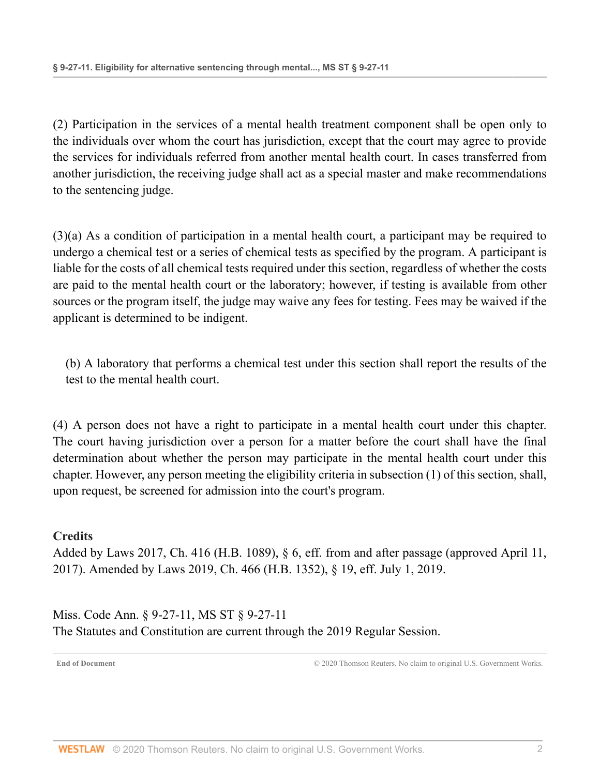(2) Participation in the services of a mental health treatment component shall be open only to the individuals over whom the court has jurisdiction, except that the court may agree to provide the services for individuals referred from another mental health court. In cases transferred from another jurisdiction, the receiving judge shall act as a special master and make recommendations to the sentencing judge.

(3)(a) As a condition of participation in a mental health court, a participant may be required to undergo a chemical test or a series of chemical tests as specified by the program. A participant is liable for the costs of all chemical tests required under this section, regardless of whether the costs are paid to the mental health court or the laboratory; however, if testing is available from other sources or the program itself, the judge may waive any fees for testing. Fees may be waived if the applicant is determined to be indigent.

(b) A laboratory that performs a chemical test under this section shall report the results of the test to the mental health court.

(4) A person does not have a right to participate in a mental health court under this chapter. The court having jurisdiction over a person for a matter before the court shall have the final determination about whether the person may participate in the mental health court under this chapter. However, any person meeting the eligibility criteria in subsection (1) of this section, shall, upon request, be screened for admission into the court's program.

### **Credits**

Added by [Laws 2017, Ch. 416 \(H.B. 1089\), § 6,](http://www.westlaw.com/Link/Document/FullText?findType=l&pubNum=1077005&cite=UUID(IA479C8501F-AC11E796A7E-56916961BA1)&originatingDoc=ND8571650977311E9806FD1F570ABFF0E&refType=SL&originationContext=document&vr=3.0&rs=cblt1.0&transitionType=DocumentItem&contextData=(sc.Document)) eff. from and after passage (approved April 11, 2017). Amended by [Laws 2019, Ch. 466 \(H.B. 1352\), § 19, eff. July 1, 2019.](http://www.westlaw.com/Link/Document/FullText?findType=l&pubNum=1077005&cite=UUID(IA6F6ACB061-2C11E9A5BAC-454C4C7F67B)&originatingDoc=ND8571650977311E9806FD1F570ABFF0E&refType=SL&originationContext=document&vr=3.0&rs=cblt1.0&transitionType=DocumentItem&contextData=(sc.Document))

<span id="page-12-0"></span>Miss. Code Ann. § 9-27-11, MS ST § 9-27-11 The Statutes and Constitution are current through the 2019 Regular Session.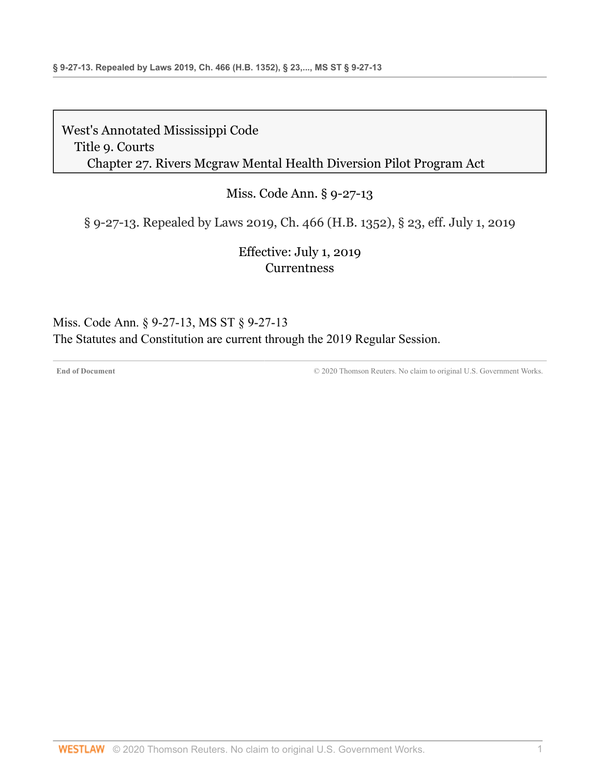### Miss. Code Ann. § 9-27-13

§ 9-27-13. Repealed by Laws 2019, Ch. 466 (H.B. 1352), § 23, eff. July 1, 2019

Effective: July 1, 2019 **[Currentness](#page-13-0)** 

<span id="page-13-0"></span>Miss. Code Ann. § 9-27-13, MS ST § 9-27-13 The Statutes and Constitution are current through the 2019 Regular Session.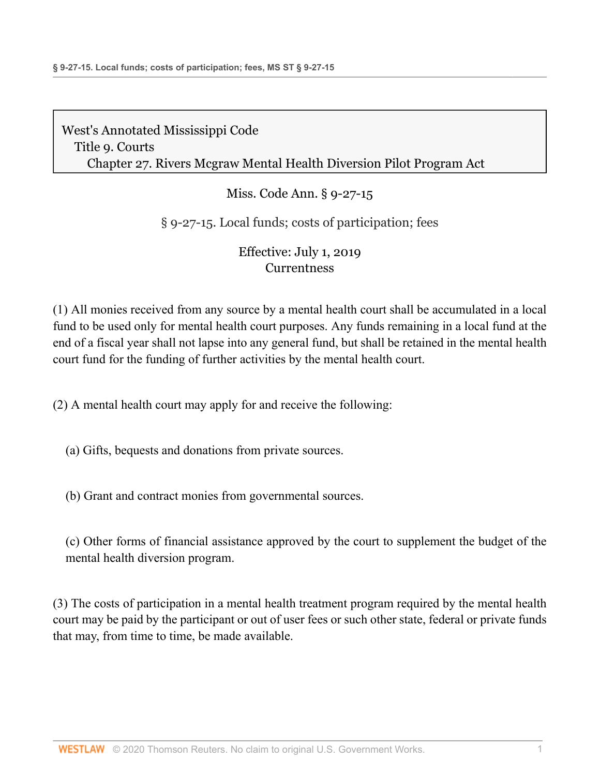## Miss. Code Ann. § 9-27-15

### § 9-27-15. Local funds; costs of participation; fees

### Effective: July 1, 2019 **[Currentness](#page-15-0)**

(1) All monies received from any source by a mental health court shall be accumulated in a local fund to be used only for mental health court purposes. Any funds remaining in a local fund at the end of a fiscal year shall not lapse into any general fund, but shall be retained in the mental health court fund for the funding of further activities by the mental health court.

(2) A mental health court may apply for and receive the following:

(a) Gifts, bequests and donations from private sources.

(b) Grant and contract monies from governmental sources.

(c) Other forms of financial assistance approved by the court to supplement the budget of the mental health diversion program.

(3) The costs of participation in a mental health treatment program required by the mental health court may be paid by the participant or out of user fees or such other state, federal or private funds that may, from time to time, be made available.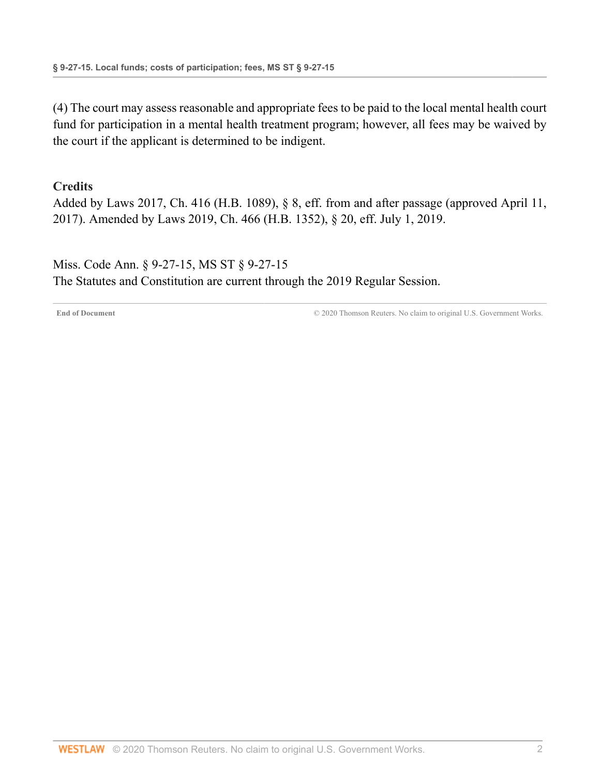(4) The court may assess reasonable and appropriate fees to be paid to the local mental health court fund for participation in a mental health treatment program; however, all fees may be waived by the court if the applicant is determined to be indigent.

#### **Credits**

Added by [Laws 2017, Ch. 416 \(H.B. 1089\), § 8,](http://www.westlaw.com/Link/Document/FullText?findType=l&pubNum=1077005&cite=UUID(IA479C8501F-AC11E796A7E-56916961BA1)&originatingDoc=ND30A4690977311E9897BE981991D4DEA&refType=SL&originationContext=document&vr=3.0&rs=cblt1.0&transitionType=DocumentItem&contextData=(sc.Document)) eff. from and after passage (approved April 11, 2017). Amended by [Laws 2019, Ch. 466 \(H.B. 1352\), § 20, eff. July 1, 2019.](http://www.westlaw.com/Link/Document/FullText?findType=l&pubNum=1077005&cite=UUID(IA6F6ACB061-2C11E9A5BAC-454C4C7F67B)&originatingDoc=ND30A4690977311E9897BE981991D4DEA&refType=SL&originationContext=document&vr=3.0&rs=cblt1.0&transitionType=DocumentItem&contextData=(sc.Document))

<span id="page-15-0"></span>Miss. Code Ann. § 9-27-15, MS ST § 9-27-15 The Statutes and Constitution are current through the 2019 Regular Session.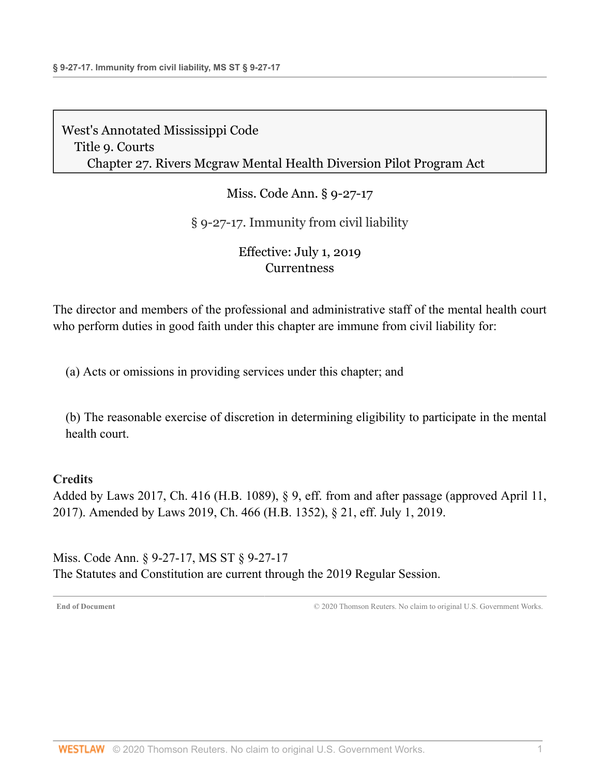Miss. Code Ann. § 9-27-17

## § 9-27-17. Immunity from civil liability

### Effective: July 1, 2019 **[Currentness](#page-16-0)**

The director and members of the professional and administrative staff of the mental health court who perform duties in good faith under this chapter are immune from civil liability for:

(a) Acts or omissions in providing services under this chapter; and

(b) The reasonable exercise of discretion in determining eligibility to participate in the mental health court.

### **Credits**

Added by [Laws 2017, Ch. 416 \(H.B. 1089\), § 9,](http://www.westlaw.com/Link/Document/FullText?findType=l&pubNum=1077005&cite=UUID(IA479C8501F-AC11E796A7E-56916961BA1)&originatingDoc=NC993F160977311E9BECFBE167A0DFBF9&refType=SL&originationContext=document&vr=3.0&rs=cblt1.0&transitionType=DocumentItem&contextData=(sc.Document)) eff. from and after passage (approved April 11, 2017). Amended by [Laws 2019, Ch. 466 \(H.B. 1352\), § 21, eff. July 1, 2019.](http://www.westlaw.com/Link/Document/FullText?findType=l&pubNum=1077005&cite=UUID(IA6F6ACB061-2C11E9A5BAC-454C4C7F67B)&originatingDoc=NC993F160977311E9BECFBE167A0DFBF9&refType=SL&originationContext=document&vr=3.0&rs=cblt1.0&transitionType=DocumentItem&contextData=(sc.Document))

<span id="page-16-0"></span>Miss. Code Ann. § 9-27-17, MS ST § 9-27-17 The Statutes and Constitution are current through the 2019 Regular Session.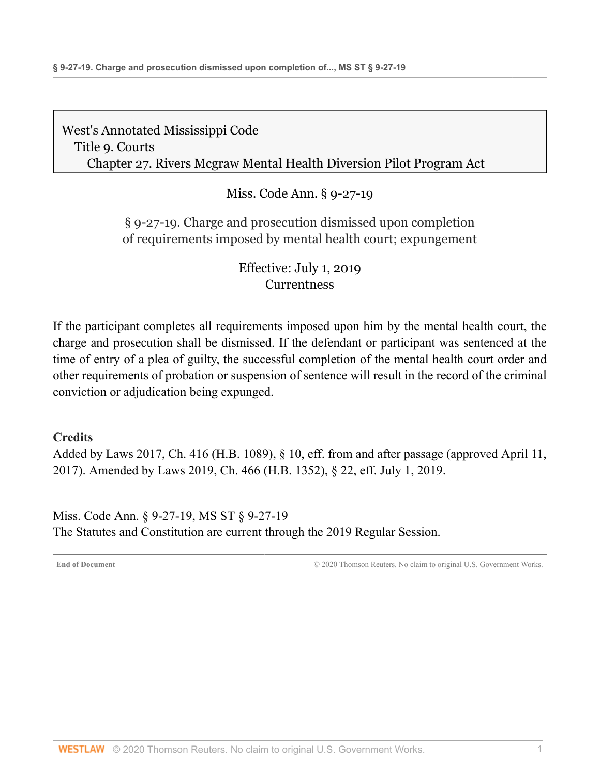Miss. Code Ann. § 9-27-19

## § 9-27-19. Charge and prosecution dismissed upon completion of requirements imposed by mental health court; expungement

## Effective: July 1, 2019 **[Currentness](#page-17-0)**

If the participant completes all requirements imposed upon him by the mental health court, the charge and prosecution shall be dismissed. If the defendant or participant was sentenced at the time of entry of a plea of guilty, the successful completion of the mental health court order and other requirements of probation or suspension of sentence will result in the record of the criminal conviction or adjudication being expunged.

### **Credits**

Added by [Laws 2017, Ch. 416 \(H.B. 1089\), § 10,](http://www.westlaw.com/Link/Document/FullText?findType=l&pubNum=1077005&cite=UUID(IA479C8501F-AC11E796A7E-56916961BA1)&originatingDoc=NC8103790977311E9806FD1F570ABFF0E&refType=SL&originationContext=document&vr=3.0&rs=cblt1.0&transitionType=DocumentItem&contextData=(sc.Document)) eff. from and after passage (approved April 11, 2017). Amended by [Laws 2019, Ch. 466 \(H.B. 1352\), § 22, eff. July 1, 2019.](http://www.westlaw.com/Link/Document/FullText?findType=l&pubNum=1077005&cite=UUID(IA6F6ACB061-2C11E9A5BAC-454C4C7F67B)&originatingDoc=NC8103790977311E9806FD1F570ABFF0E&refType=SL&originationContext=document&vr=3.0&rs=cblt1.0&transitionType=DocumentItem&contextData=(sc.Document))

<span id="page-17-0"></span>Miss. Code Ann. § 9-27-19, MS ST § 9-27-19 The Statutes and Constitution are current through the 2019 Regular Session.